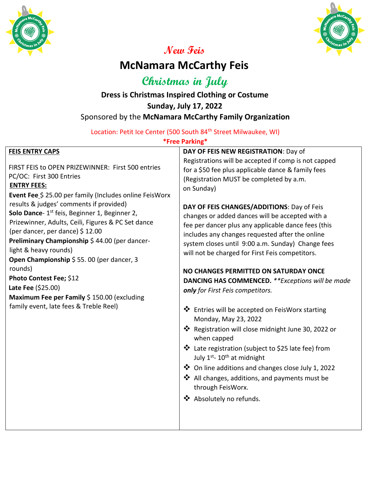



# **New Feis**

# **McNamara McCarthy Feis**

**Christmas in July**

# **Dress is Christmas Inspired Clothing or Costume Sunday, July 17, 2022** Sponsored by the **McNamara McCarthy Family Organization**

Location: Petit Ice Center (500 South 84<sup>th</sup> Street Milwaukee, WI)

### **\*Free Parking\***

| <b>FEIS ENTRY CAPS</b>                                    | DAY OF FEIS NEW REGISTRATION: Day of                                                                       |
|-----------------------------------------------------------|------------------------------------------------------------------------------------------------------------|
|                                                           | Registrations will be accepted if comp is not capped                                                       |
| FIRST FEIS to OPEN PRIZEWINNER: First 500 entries         | for a \$50 fee plus applicable dance & family fees                                                         |
| PC/OC: First 300 Entries                                  | (Registration MUST be completed by a.m.                                                                    |
| <b>ENTRY FEES:</b>                                        | on Sunday)                                                                                                 |
| Event Fee \$ 25.00 per family (Includes online FeisWorx   |                                                                                                            |
| results & judges' comments if provided)                   | DAY OF FEIS CHANGES/ADDITIONS: Day of Feis                                                                 |
| Solo Dance- 1 <sup>st</sup> feis, Beginner 1, Beginner 2, | changes or added dances will be accepted with a                                                            |
| Prizewinner, Adults, Ceili, Figures & PC Set dance        | fee per dancer plus any applicable dance fees (this                                                        |
| (per dancer, per dance) \$12.00                           | includes any changes requested after the online                                                            |
| Preliminary Championship \$44.00 (per dancer-             | system closes until 9:00 a.m. Sunday) Change fees                                                          |
| light & heavy rounds)                                     | will not be charged for First Feis competitors.                                                            |
| Open Championship \$55.00 (per dancer, 3                  |                                                                                                            |
| rounds)                                                   | NO CHANGES PERMITTED ON SATURDAY ONCE                                                                      |
| Photo Contest Fee; \$12                                   | DANCING HAS COMMENCED. ** Exceptions will be made                                                          |
| <b>Late Fee</b> $(525.00)$                                | only for First Feis competitors.                                                                           |
| Maximum Fee per Family \$ 150.00 (excluding               |                                                                                                            |
| family event, late fees & Treble Reel)                    | ❖ Entries will be accepted on FeisWorx starting                                                            |
|                                                           | Monday, May 23, 2022                                                                                       |
|                                                           |                                                                                                            |
|                                                           | ❖ Registration will close midnight June 30, 2022 or                                                        |
|                                                           | when capped                                                                                                |
|                                                           | ❖ Late registration (subject to \$25 late fee) from<br>July 1 <sup>st</sup> - 10 <sup>th</sup> at midnight |
|                                                           | ❖ On line additions and changes close July 1, 2022                                                         |
|                                                           | ❖ All changes, additions, and payments must be                                                             |
|                                                           | through FeisWorx.                                                                                          |
|                                                           | ❖ Absolutely no refunds.                                                                                   |
|                                                           |                                                                                                            |
|                                                           |                                                                                                            |
|                                                           |                                                                                                            |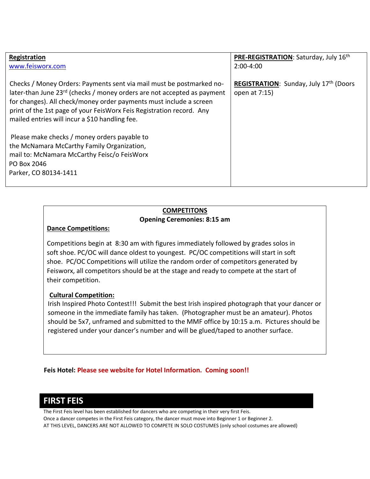| Registration<br>www.feisworx.com                                                                                                                | PRE-REGISTRATION: Saturday, July 16th<br>$2:00-4:00$    |
|-------------------------------------------------------------------------------------------------------------------------------------------------|---------------------------------------------------------|
|                                                                                                                                                 |                                                         |
| Checks / Money Orders: Payments sent via mail must be postmarked no-<br>later-than June 23rd (checks / money orders are not accepted as payment | REGISTRATION: Sunday, July 17th (Doors<br>open at 7:15) |
| for changes). All check/money order payments must include a screen                                                                              |                                                         |
| print of the 1st page of your FeisWorx Feis Registration record. Any                                                                            |                                                         |
| mailed entries will incur a \$10 handling fee.                                                                                                  |                                                         |
| Please make checks / money orders payable to                                                                                                    |                                                         |
| the McNamara McCarthy Family Organization,                                                                                                      |                                                         |
| mail to: McNamara McCarthy Feisc/o FeisWorx                                                                                                     |                                                         |
| PO Box 2046                                                                                                                                     |                                                         |
| Parker, CO 80134-1411                                                                                                                           |                                                         |
|                                                                                                                                                 |                                                         |

### **COMPETITONS Opening Ceremonies: 8:15 am**

### **Dance Competitions:**

Competitions begin at 8:30 am with figures immediately followed by grades solos in soft shoe. PC/OC will dance oldest to youngest. PC/OC competitions will start in soft shoe. PC/OC Competitions will utilize the random order of competitors generated by Feisworx, all competitors should be at the stage and ready to compete at the start of their competition.

### **Cultural Competition:**

Irish Inspired Photo Contest!!! Submit the best Irish inspired photograph that your dancer or someone in the immediate family has taken. (Photographer must be an amateur). Photos should be 5x7, unframed and submitted to the MMF office by 10:15 a.m. Pictures should be registered under your dancer's number and will be glued/taped to another surface.

**Feis Hotel: Please see website for Hotel Information. Coming soon!!**

### **FIRST FEIS**

The First Feis level has been established for dancers who are competing in their very first Feis. Once a dancer competes in the First Feis category, the dancer must move into Beginner 1 or Beginner 2. AT THIS LEVEL, DANCERS ARE NOT ALLOWED TO COMPETE IN SOLO COSTUMES (only school costumes are allowed)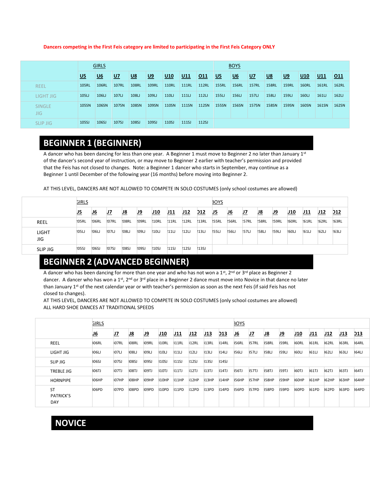#### **Dancers competing in the First Feis category are limited to participating in the First Feis Category ONLY**

|                      |       | <b>GIRLS</b> |              |              |           |              |              |              | <b>BOYS</b>  |                           |              |              |              |              |              |       |  |
|----------------------|-------|--------------|--------------|--------------|-----------|--------------|--------------|--------------|--------------|---------------------------|--------------|--------------|--------------|--------------|--------------|-------|--|
|                      | $U5$  | <u>U6</u>    | $U$          | $U8$         | <u>U9</u> | U10          | U11          | 011          | $U5$         | $\underline{\mathsf{U6}}$ | <u>U7</u>    | <u>U8</u>    | <u>U9</u>    | $U10$        | U11          | 011   |  |
| <b>REEL</b>          | 105RL | <b>106RL</b> | <b>107RL</b> | <b>108RL</b> | 109RL     | <b>110RL</b> | <b>111RL</b> | <b>112RL</b> | <b>155RL</b> | <b>156RL</b>              | <b>157RL</b> | <b>158RL</b> | <b>159RL</b> | <b>160RL</b> | <b>161RL</b> | 162RL |  |
| LIGHT JIG            | 105L  | 106LJ        | 107LJ        | 108LJ        | 109L      | 110L         | 111U         | 112L         | 155L         | 156LJ                     | 157LJ        | 158LJ        | 159L         | 160L         | 161L         | 162L  |  |
| <b>SINGLE</b><br>JIG | 105SN | 106SN        | 107SN        | 108SN        | 109SN     | <b>110SN</b> | <b>111SN</b> | <b>112SN</b> | <b>155SN</b> | 156SN                     | <b>157SN</b> | <b>158SN</b> | 159SN        | <b>160SN</b> | 161SN        | 162SN |  |
| <b>SLIP JIG</b>      | 105SJ | 106SJ        | 107SJ        | 108SJ        | 109SJ     | 110SJ        | 111SJ        | 112SJ        |              |                           |              |              |              |              |              |       |  |

### **BEGINNER 1 (BEGINNER)**

A dancer who has been dancing for less than one year. A Beginner 1 must move to Beginner 2 no later than January 1<sup>st</sup> of the dancer's second year of instruction, or may move to Beginner 2 earlier with teacher's permission and provided that the Feis has not closed to changes. Note: a Beginner 1 dancer who starts in September, may continue as a Beginner 1 until December of the following year (16 months) before moving into Beginner 2.

AT THIS LEVEL, DANCERS ARE NOT ALLOWED TO COMPETE IN SOLO COSTUMES (only school costumes are allowed)

|                     | <b>GIRLS</b> |              |              |              |       |              |       |       |            | <b>3OYS</b>  |              |              |            |       |       |              |       |              |
|---------------------|--------------|--------------|--------------|--------------|-------|--------------|-------|-------|------------|--------------|--------------|--------------|------------|-------|-------|--------------|-------|--------------|
|                     | J5           | <u>J6</u>    | IJ7          | IJ8          | J9    | J10          | J11   | J12   | <b>D12</b> | IJ5          | <u>J6</u>    | IJ7          | <u> J8</u> | 9ل    | J10   | J11          | J12   | <b>D12</b>   |
| REEL                | !05RL        | <b>!06RL</b> | <b>207RL</b> | <b>!O8RL</b> | !09RL | <b>!10RL</b> | !11RL | !12RL | !13RL      | <b>255RL</b> | <b>!56RL</b> | <b>!57RL</b> | !58RL      | !59RL | !60RL | <b>!61RL</b> | 162RL | <b>!63RL</b> |
| <b>LIGHT</b><br>JIG | !05LJ        | '06U         | <b>!07LJ</b> | !08LJ        | !09LJ | 210L         | !11   | !12U  | !13U       | <b>255LJ</b> | !56LJ        | <b>!57LJ</b> | !58LJ      | !59LJ | !60LJ | !61U         | !62LJ | !63LJ        |
| <b>SLIP JIG</b>     | :05SJ        | <b>!06SJ</b> | 207SJ        | !08SJ        | !09SJ | !10SJ        | !11SJ | !12SJ | !13SJ      |              |              |              |            |       |       |              |       |              |

# **BEGINNER 2 (ADVANCED BEGINNER)**

A dancer who has been dancing for more than one year and who has not won a 1st, 2<sup>nd</sup> or 3<sup>rd</sup> place as Beginner 2 dancer. A dancer who has won a 1st, 2<sup>nd</sup> or 3<sup>rd</sup> place in a Beginner 2 dance must move into Novice in that dance no later than January 1st of the next calendar year or with teacher's permission as soon as the next Feis (if said Feis has not closed to changes).

AT THIS LEVEL, DANCERS ARE NOT ALLOWED TO COMPETE IN SOLO COSTUMES (only school costumes are allowed) ALL HARD SHOE DANCES AT TRADITIONAL SPEEDS

|                                             | <b>GIRLS</b> |           |              |            |               |             |               |            |            | <b>BOYS</b>  |       |              |            |               |               |                 |              |               |
|---------------------------------------------|--------------|-----------|--------------|------------|---------------|-------------|---------------|------------|------------|--------------|-------|--------------|------------|---------------|---------------|-----------------|--------------|---------------|
|                                             | <u>J6</u>    | <u>J7</u> | <u>J8</u>    | <u>رور</u> | J10           | <u> J11</u> | <u> J12</u>   | <u>J13</u> | <u>D13</u> | <u>J6</u>    | J7    | <u>J8</u>    | <u>رور</u> | J10           | J11           | J <sub>12</sub> | J13          | <b>D13</b>    |
| REEL                                        | <b>306RL</b> | 307RL     | <b>308RL</b> | 309RL      | <b>310RL</b>  | 311RL       | <b>\$12RL</b> | 313RL      | 14RL       | <b>IS6RL</b> | 357RL | <b>I58RL</b> | 359RL      | <b>I60RL</b>  | <b>\$61RL</b> | 362RL           | <b>163RL</b> | <b>164RL</b>  |
| LIGHT JIG                                   | 306L         | 307LJ     | 308LJ        | 309LJ      | 310LJ         | 311U        | <b>312LJ</b>  | 313LJ      | 314LJ      | <b>356LJ</b> | 357LJ | <b>I58LJ</b> | 359LJ      | <b>GOLJ</b>   | <b>161LJ</b>  | 362LJ           | 363L         | 364LJ         |
| SLIP JIG                                    | <b>106SJ</b> | 307SJ     | <b>108SJ</b> | 309SJ      | <b>\$10SJ</b> | 311S        | 12SJ          | 135J       | 14SJ       |              |       |              |            |               |               |                 |              |               |
| <b>TREBLE JIG</b>                           | <b>306TJ</b> | 307TJ     | <b>308TJ</b> | 309TJ      | <b>\$10TJ</b> | 311TJ       | 12TJ          | 13TJ       | 14TJ       | <b>IS6TJ</b> | 357TJ | <b>IS8TJ</b> | 359TJ      | 160TJ         | <b>\$61TJ</b> | 362TJ           | <b>163TJ</b> | <b>164TJ</b>  |
| <b>HORNPIPE</b>                             | 306HP        | 307HP     | <b>308HP</b> | 309HP      | 310HP         | 311HP       | 312HP         | 313HP      | 14HP       | <b>356HP</b> | 357HP | <b>I58HP</b> | 359HP      | <b>GOHP</b>   | <b>\$61HP</b> | 362HP           | 363HP        | <b>\$64HP</b> |
| <b>ST</b><br><b>PATRICK'S</b><br><b>DAY</b> | <b>SOGPD</b> | 307PD     | <b>308PD</b> | 309PD      | 310PD         | 311PD       | <b>\$12PD</b> | 313PD      | 14PD       | <b>I56PD</b> | 357PD | <b>I58PD</b> | 359PD      | <b>\$60PD</b> | <b>\$61PD</b> | 362PD           | 63PD         | <b>364PD</b>  |

### **NOVICE**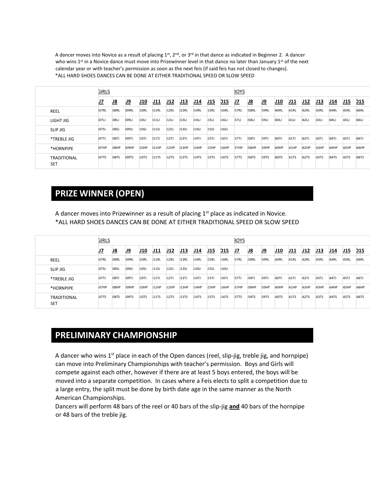A dancer moves into Novice as a result of placing  $1^{st}$ ,  $2^{nd}$ , or  $3^{rd}$  in that dance as indicated in Beginner 2. A dancer who wins  $1<sup>st</sup>$  in a Novice dance must move into Prizewinner level in that dance no later than January  $1<sup>st</sup>$  of the next calendar year or with teacher's permission as soon as the next feis (if said feis has not closed to changes). \*ALL HARD SHOES DANCES CAN BE DONE AT EITHER TRADITIONAL SPEED OR SLOW SPEED

|                                  | <b>GIRLS</b> |              |              |       |      |             |             |      |             |            | <b>BOYS</b>  |              |              |                   |              |              |             |              |              |              |
|----------------------------------|--------------|--------------|--------------|-------|------|-------------|-------------|------|-------------|------------|--------------|--------------|--------------|-------------------|--------------|--------------|-------------|--------------|--------------|--------------|
|                                  | IJ7          | <u>J8</u>    | IJ9          | J10   | J11  | J12         | <b>J13</b>  | J14  | J15         | <b>D15</b> | <u>J7</u>    | <u>J8</u>    | <u>J9</u>    | J10               | J11          | J12          | <u> J13</u> | J14          | <u>J15</u>   | <b>D15</b>   |
| REEL                             | 07RL         | IO8RL        | IO9RL        | I10RL | 11RL | 12RL        | 13RL        | 14RL | 15RL        | 16RL       | <b>IS7RL</b> | <b>I58RL</b> | 159RL        | I <sub>60RL</sub> | <b>I61RL</b> | <b>62RL</b>  | <b>63RL</b> | <b>I64RL</b> | 165RL        | <b>I66RL</b> |
| LIGHT JIG                        | <b>IO7LI</b> | <b>IO8LJ</b> | <b>IO9LJ</b> | 110LJ | 111  | 12U         | 13L         | 14U  | <b>15U</b>  | 16L        | <b>IS7LJ</b> | <b>I58LJ</b> | <b>I59LJ</b> | <b>60LJ</b>       | <b>I61U</b>  | <b>.62LJ</b> | <b>63LJ</b> | 164LJ        | 165LJ        | 166LJ        |
| SLIP JIG                         | <b>LO7SJ</b> | IO8SJ        | IO9SJ        | I10SJ | 11S  | 12SJ        | <b>13SJ</b> | 14SJ | <b>15SJ</b> | 16S        |              |              |              |                   |              |              |             |              |              |              |
| *TREBLE JIG                      | <b>IO7TJ</b> | <b>IO8TJ</b> | <b>IO9TJ</b> | 10TJ  | 11T  | 112TJ       | 13TJ        | 14TJ | 15TJ        | 16TJ       | <b>IS7TJ</b> | <b>I58TJ</b> | <b>I59TJ</b> | <b>IGOTJ</b>      | <b>I61TJ</b> | <b>62TJ</b>  | <b>G3TJ</b> | <b>I64TJ</b> | <b>I65TJ</b> | <b>IG6TJ</b> |
| *HORNPIPE                        | 07HP         | <b>IO8HP</b> | <b>IO9HP</b> | 10HP  | 11HP | 12HP        | 13HP        | 14HP | 15HP        | 16HP       | <b>I57HP</b> | I58HP        | I59HP        | <b>IGOHP</b>      | <b>I61HP</b> | <b>62HP</b>  | <b>63HP</b> | <b>I64HP</b> | <b>I65HP</b> | <b>IGGHP</b> |
| <b>TRADITIONAL</b><br><b>SET</b> | <b>IO7TS</b> | <b>IO8TS</b> | IO9TS        | 10TS  | 11TS | <b>12TS</b> | 13TS        | 14TS | 15TS        | 16TS       | <b>IS7TS</b> | <b>IS8TS</b> | <b>IS9TS</b> | <b>IGOTS</b>      | <b>I61TS</b> | <b>G2TS</b>  | <b>63TS</b> | <b>I64TS</b> | <b>I65TS</b> | <b>IG6TS</b> |

### **PRIZE WINNER (OPEN)**

A dancer moves into Prizewinner as a result of placing 1<sup>st</sup> place as indicated in Novice. \*ALL HARD SHOES DANCES CAN BE DONE AT EITHER TRADITIONAL SPEED OR SLOW SPEED

|                                  | <b>GIRLS</b> |              |              |             |                  |      |             |      |      |            | <b>BOYS</b> |             |              |             |             |             |      |             |             |             |
|----------------------------------|--------------|--------------|--------------|-------------|------------------|------|-------------|------|------|------------|-------------|-------------|--------------|-------------|-------------|-------------|------|-------------|-------------|-------------|
|                                  | IJ7          | IJ8          | IJ9          | J10         | J11              | J12  | J13         | J14  | J15  | <b>D15</b> | IJ7         | <u>J8</u>   |              | J10         | J11         | J12         | J13  | J14         | J15         | <b>D15</b>  |
| REEL                             | <b>O7RL</b>  | <b>O8RL</b>  | <b>O9RL</b>  | 10RL        | 11RL             | 12RL | 13RL        | 14RL | 15RL | 16RL       | <b>57RL</b> | <b>58RL</b> | <b>159RL</b> | <b>60RL</b> | <b>61RL</b> | <b>62RL</b> | 63RL | <b>64RL</b> | <b>65RL</b> | <b>66RL</b> |
| <b>SLIP JIG</b>                  | <b>107SJ</b> | <b>08SJ</b>  | <b>109SJ</b> | 10SJ        | 115              | 12SJ | <b>13SJ</b> | 14S  | 15S  | 16SJ       |             |             |              |             |             |             |      |             |             |             |
| *TREBLE JIG                      | <b>107TJ</b> | <b>O8TJ</b>  | <b>;09TJ</b> | 10TJ        | 11T              | 12TJ | 13TJ        | 14TJ | 15TJ | 16TJ       | <b>57TJ</b> | <b>58TJ</b> | <b>59TJ</b>  | <b>60TJ</b> | 61T         | 62TJ        | 63TJ | 64T         | <b>65TJ</b> | <b>66TJ</b> |
| *HORNPIPE                        | <b>107HP</b> | <b>608HP</b> | 09HP         | 10HP        | 11HP             | 12HP | 13HP        | 14HP | 15HP | 16HP       | <b>57HP</b> | <b>58HP</b> | <b>59HP</b>  | <b>60HP</b> | 61HP        | 62HP        | 63HP | 564HP       | <b>65HP</b> | <b>66HP</b> |
| <b>TRADITIONAL</b><br><b>SET</b> | <b>O7TS</b>  | <b>O8TS</b>  | <b>O9TS</b>  | <b>10TS</b> | 11T <sub>S</sub> | 12TS | 13TS        | 14TS | 15TS | 16TS       | <b>57TS</b> | <b>58TS</b> | <b>159TS</b> | <b>60TS</b> | <b>61TS</b> | <b>62TS</b> | 63TS | 564TS       | <b>65TS</b> | <b>66TS</b> |

### **PRELIMINARY CHAMPIONSHIP**

A dancer who wins  $1^{st}$  place in each of the Open dances (reel, slip-jig, treble jig, and hornpipe) can move into Preliminary Championships with teacher's permission. Boys and Girls will compete against each other, however if there are at least 5 boys entered, the boys will be moved into a separate competition. In cases where a Feis elects to split a competition due to a large entry, the split must be done by birth date age in the same manner as the North American Championships.

Dancers will perform 48 bars of the reel or 40 bars of the slip-jig **and** 40 bars of the hornpipe or 48 bars of the treble jig.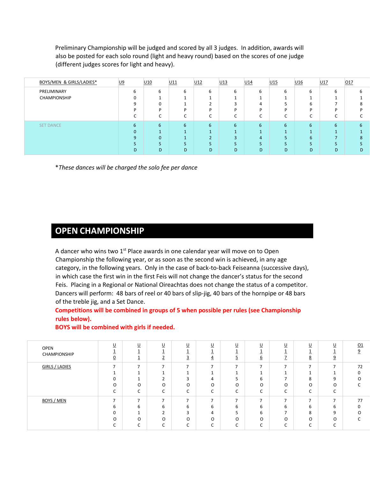Preliminary Championship will be judged and scored by all 3 judges. In addition, awards will also be posted for each solo round (light and heavy round) based on the scores of one judge (different judges scores for light and heavy).

| BOYS/MEN & GIRLS/LADIES* | <u>U9</u> |   | U <sub>10</sub> | U <sub>11</sub> | U <sub>12</sub> | U13 | U14        | U15    | U16     | U17 | 017 |
|--------------------------|-----------|---|-----------------|-----------------|-----------------|-----|------------|--------|---------|-----|-----|
| PRELIMINARY              |           | ь | 6               | 6               | 6               | ь   | 6          | 6      | 6       | ь   |     |
| CHAMPIONSHIP             |           | O |                 |                 |                 |     |            |        |         |     |     |
|                          |           | q | U               |                 |                 |     | 4          |        | h       |     | Δ   |
|                          |           | D | D               | D               | ח               |     | D          | D      | D       |     |     |
|                          |           |   |                 |                 |                 |     |            | $\sim$ | ∽<br>⊾. |     |     |
| <b>SET DANCE</b>         |           | 6 | 6               | 6               | 6               | 6   | 6          | 6      | 6       | 6   |     |
|                          |           | O |                 |                 |                 |     |            |        |         |     |     |
|                          |           |   | $\Omega$        |                 | $\mathcal{D}$   | 3   | 4          |        | 6       |     | Δ   |
|                          |           |   |                 |                 |                 |     | $\epsilon$ |        |         |     |     |
|                          |           | D | D               | D               | D               | D   | D          | D      | D       | D   | D   |

\**These dances will be charged the solo fee per dance*

### **OPEN CHAMPIONSHIP**

A dancer who wins two  $1<sup>st</sup>$  Place awards in one calendar year will move on to Open Championship the following year, or as soon as the second win is achieved, in any age category, in the following years. Only in the case of back-to-back Feiseanna (successive days), in which case the first win in the first Feis will not change the dancer's status for the second Feis. Placing in a Regional or National Oireachtas does not change the status of a competitor. Dancers will perform: 48 bars of reel or 40 bars of slip-jig, 40 bars of the hornpipe or 48 bars of the treble jig, and a Set Dance.

### **Competitions will be combined in groups of 5 when possible per rules (see Championship rules below).**

| OPEN<br>CHAMPIONSHIP  | $\underline{\mathsf{U}}$<br>≐<br>$\overline{0}$                            | <u>U</u><br>÷<br>$\overline{\phantom{a}}$<br>÷. | $\underline{\mathsf{U}}$<br>≛<br><sup>-</sup><br>$\leq$                                  | $\underline{\mathsf{U}}$<br>≐<br>$\overline{ }$<br>⊇             | $U$<br>$\overline{4}$                              | $\underline{\mathsf{U}}$<br>∸<br>-<br>⊇                   | $\underline{\mathsf{U}}$<br>6                             | $\underline{\mathsf{U}}$<br>≐<br>$\overline{\phantom{a}}$<br>∸ | <u>U</u><br>∸<br>8                                             | $\underline{\mathsf{U}}$<br>÷<br>$\overline{9}$                       | Q <sub>1</sub><br>9                                    |
|-----------------------|----------------------------------------------------------------------------|-------------------------------------------------|------------------------------------------------------------------------------------------|------------------------------------------------------------------|----------------------------------------------------|-----------------------------------------------------------|-----------------------------------------------------------|----------------------------------------------------------------|----------------------------------------------------------------|-----------------------------------------------------------------------|--------------------------------------------------------|
| <b>GIRLS / LADIES</b> | $\overline{\phantom{a}}$<br>$\Omega$<br>O<br>$\overline{\phantom{0}}$<br>J | -<br>$\overline{ }$<br>O<br>$\sim$<br>J         | $\overline{ }$<br>$\mathbf{r}$<br>O<br>$\overline{\phantom{0}}$<br>J                     | $\overline{ }$<br>$\sim$<br>O<br>$\overline{\phantom{0}}$<br>J   | -<br>4<br>$\circ$<br>$\sim$<br>◡                   | -<br>-<br>5<br>O<br>$\overline{\phantom{0}}$<br>J         | $\overline{ }$<br>6<br>O<br>$\sqrt{2}$<br>J               | ⇁<br>$\overline{\phantom{a}}$<br>O<br>$\sim$<br>J              | $\overline{ }$<br>8<br>O<br>$\overline{\phantom{0}}$<br>J      | $\overline{ }$<br>9<br>$\circ$<br>$\overline{\phantom{0}}$<br>◡       | 72<br>0<br>$\Omega$<br>$\overline{\phantom{0}}$        |
| <b>BOYS / MEN</b>     | $\overline{ }$<br>6<br>$\Omega$<br>O<br>$\overline{\phantom{0}}$           | $\overline{ }$<br>6<br>O<br>$\sim$<br>◡         | $\overline{\phantom{a}}$<br>6<br>$\mathbf{r}$<br>∠<br>O<br>$\overline{\phantom{0}}$<br>◡ | $\overline{ }$<br>6<br>3<br>$\Omega$<br>$\overline{\phantom{0}}$ | $\overline{ }$<br>6<br>4<br>$\circ$<br>$\sim$<br>◡ | $\overline{ }$<br>6<br>5<br>O<br>$\overline{\phantom{0}}$ | $\overline{ }$<br>6<br>6<br>O<br>$\overline{\phantom{0}}$ | $\overline{ }$<br>6<br>$\overline{ }$<br>O<br>$\sim$<br>◡      | $\overline{ }$<br>6<br>8<br>O<br>$\overline{\phantom{0}}$<br>◡ | $\overline{ }$<br>6<br>9<br>$\Omega$<br>$\overline{\phantom{0}}$<br>◡ | 77<br>$\Omega$<br>$\Omega$<br>$\overline{\phantom{0}}$ |

#### **BOYS will be combined with girls if needed.**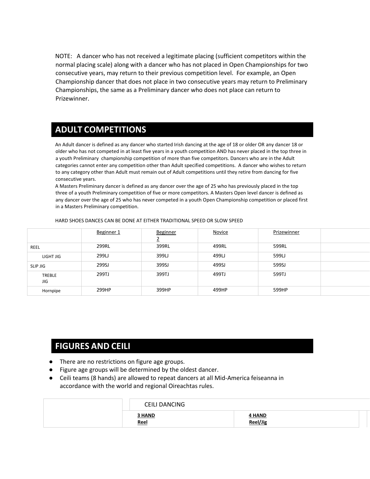NOTE: A dancer who has not received a legitimate placing (sufficient competitors within the normal placing scale) along with a dancer who has not placed in Open Championships for two consecutive years, may return to their previous competition level. For example, an Open Championship dancer that does not place in two consecutive years may return to Preliminary Championships, the same as a Preliminary dancer who does not place can return to Prizewinner.

### **ADULT COMPETITIONS**

An Adult dancer is defined as any dancer who started Irish dancing at the age of 18 or older OR any dancer 18 or older who has not competed in at least five years in a youth competition AND has never placed in the top three in a youth Preliminary championship competition of more than five competitors. Dancers who are in the Adult categories cannot enter any competition other than Adult specified competitions. A dancer who wishes to return to any category other than Adult must remain out of Adult competitions until they retire from dancing for five consecutive years.

A Masters Preliminary dancer is defined as any dancer over the age of 25 who has previously placed in the top three of a youth Preliminary competition of five or more competitors. A Masters Open level dancer is defined as any dancer over the age of 25 who has never competed in a youth Open Championship competition or placed first in a Masters Preliminary competition.

|               | Beginner 1 | <b>Beginner</b> | <b>Novice</b> | Prizewinner |
|---------------|------------|-----------------|---------------|-------------|
|               |            |                 |               |             |
| REEL          | 299RL      | 399RL           | 499RL         | 599RL       |
| LIGHT JIG     | 299LJ      | 399LJ           | 499LJ         | 599LJ       |
| SLIP JIG      | 299SJ      | 399SJ           | 499SJ         | 599SJ       |
| TREBLE<br>JIG | 299TJ      | 399TJ           | 499TJ         | 599TJ       |
| Hornpipe      | 299HP      | 399HP           | 499HP         | 599HP       |

HARD SHOES DANCES CAN BE DONE AT EITHER TRADITIONAL SPEED OR SLOW SPEED

### **FIGURES AND CEILI**

- There are no restrictions on figure age groups.
- Figure age groups will be determined by the oldest dancer.
- Ceili teams (8 hands) are allowed to repeat dancers at all Mid-America feiseanna in accordance with the world and regional Oireachtas rules.

| <b>CEILI DANCING</b>  |                    |
|-----------------------|--------------------|
| 3 HAND<br><u>Reel</u> | 4 HAND<br>Reel/Jig |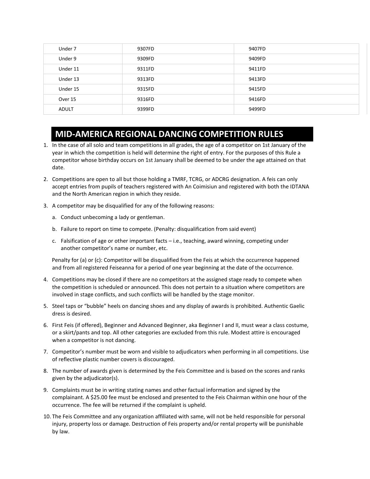| Under 7      | 9307FD | 9407FD |
|--------------|--------|--------|
| Under 9      | 9309FD | 9409FD |
| Under 11     | 9311FD | 9411FD |
| Under 13     | 9313FD | 9413FD |
| Under 15     | 9315FD | 9415FD |
| Over 15      | 9316FD | 9416FD |
| <b>ADULT</b> | 9399FD | 9499FD |

### **MID-AMERICA REGIONAL DANCING COMPETITION RULES**

- 1. In the case of all solo and team competitions in all grades, the age of a competitor on 1st January of the year in which the competition is held will determine the right of entry. For the purposes of this Rule a competitor whose birthday occurs on 1st January shall be deemed to be under the age attained on that date.
- 2. Competitions are open to all but those holding a TMRF, TCRG, or ADCRG designation. A feis can only accept entries from pupils of teachers registered with An Coimisiun and registered with both the IDTANA and the North American region in which they reside.
- 3. A competitor may be disqualified for any of the following reasons:
	- a. Conduct unbecoming a lady or gentleman.
	- b. Failure to report on time to compete. (Penalty: disqualification from said event)
	- c. Falsification of age or other important facts i.e., teaching, award winning, competing under another competitor's name or number, etc.

Penalty for (a) or (c): Competitor will be disqualified from the Feis at which the occurrence happened and from all registered Feiseanna for a period of one year beginning at the date of the occurrence.

- 4. Competitions may be closed if there are no competitors at the assigned stage ready to compete when the competition is scheduled or announced. This does not pertain to a situation where competitors are involved in stage conflicts, and such conflicts will be handled by the stage monitor.
- 5. Steel taps or "bubble" heels on dancing shoes and any display of awards is prohibited. Authentic Gaelic dress is desired.
- 6. First Feis (if offered), Beginner and Advanced Beginner, aka Beginner I and II, must wear a class costume, or a skirt/pants and top. All other categories are excluded from this rule. Modest attire is encouraged when a competitor is not dancing.
- 7. Competitor's number must be worn and visible to adjudicators when performing in all competitions. Use of reflective plastic number covers is discouraged.
- 8. The number of awards given is determined by the Feis Committee and is based on the scores and ranks given by the adjudicator(s).
- 9. Complaints must be in writing stating names and other factual information and signed by the complainant. A \$25.00 fee must be enclosed and presented to the Feis Chairman within one hour of the occurrence. The fee will be returned if the complaint is upheld.
- 10. The Feis Committee and any organization affiliated with same, will not be held responsible for personal injury, property loss or damage. Destruction of Feis property and/or rental property will be punishable by law.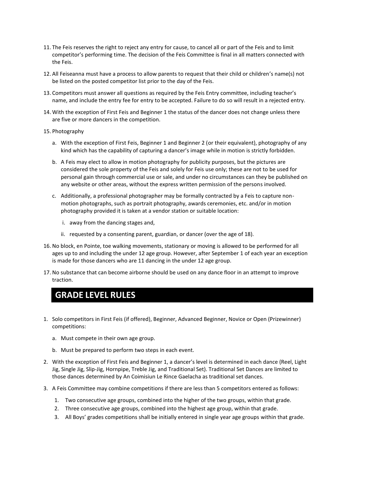- 11. The Feis reserves the right to reject any entry for cause, to cancel all or part of the Feis and to limit competitor's performing time. The decision of the Feis Committee is final in all matters connected with the Feis.
- 12. All Feiseanna must have a process to allow parents to request that their child or children's name(s) not be listed on the posted competitor list prior to the day of the Feis.
- 13. Competitors must answer all questions as required by the Feis Entry committee, including teacher's name, and include the entry fee for entry to be accepted. Failure to do so will result in a rejected entry.
- 14. With the exception of First Feis and Beginner 1 the status of the dancer does not change unless there are five or more dancers in the competition.
- 15. Photography
	- a. With the exception of First Feis, Beginner 1 and Beginner 2 (or their equivalent), photography of any kind which has the capability of capturing a dancer's image while in motion is strictly forbidden.
	- b. A Feis may elect to allow in motion photography for publicity purposes, but the pictures are considered the sole property of the Feis and solely for Feis use only; these are not to be used for personal gain through commercial use or sale, and under no circumstances can they be published on any website or other areas, without the express written permission of the persons involved.
	- c. Additionally, a professional photographer may be formally contracted by a Feis to capture nonmotion photographs, such as portrait photography, awards ceremonies, etc. and/or in motion photography provided it is taken at a vendor station or suitable location:
		- i. away from the dancing stages and,
		- ii. requested by a consenting parent, guardian, or dancer (over the age of 18).
- 16. No block, en Pointe, toe walking movements, stationary or moving is allowed to be performed for all ages up to and including the under 12 age group. However, after September 1 of each year an exception is made for those dancers who are 11 dancing in the under 12 age group.
- 17. No substance that can become airborne should be used on any dance floor in an attempt to improve traction.

### **GRADE LEVEL RULES**

- 1. Solo competitors in First Feis (if offered), Beginner, Advanced Beginner, Novice or Open (Prizewinner) competitions:
	- a. Must compete in their own age group.
	- b. Must be prepared to perform two steps in each event.
- 2. With the exception of First Feis and Beginner 1, a dancer's level is determined in each dance (Reel, Light Jig, Single Jig, Slip-Jig, Hornpipe, Treble Jig, and Traditional Set). Traditional Set Dances are limited to those dances determined by An Coimisiun Le Rince Gaelacha as traditional set dances.
- 3. A Feis Committee may combine competitions if there are less than 5 competitors entered as follows:
	- 1. Two consecutive age groups, combined into the higher of the two groups, within that grade.
	- 2. Three consecutive age groups, combined into the highest age group, within that grade.
	- 3. All Boys' grades competitions shall be initially entered in single year age groups within that grade.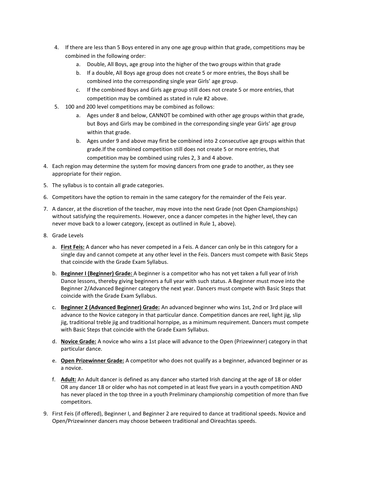- 4. If there are less than 5 Boys entered in any one age group within that grade, competitions may be combined in the following order:
	- a. Double, All Boys, age group into the higher of the two groups within that grade
	- b. If a double, All Boys age group does not create 5 or more entries, the Boys shall be combined into the corresponding single year Girls' age group.
	- c. If the combined Boys and Girls age group still does not create 5 or more entries, that competition may be combined as stated in rule #2 above.
- 5. 100 and 200 level competitions may be combined as follows:
	- a. Ages under 8 and below, CANNOT be combined with other age groups within that grade, but Boys and Girls may be combined in the corresponding single year Girls' age group within that grade.
	- b. Ages under 9 and above may first be combined into 2 consecutive age groups within that grade.If the combined competition still does not create 5 or more entries, that competition may be combined using rules 2, 3 and 4 above.
- 4. Each region may determine the system for moving dancers from one grade to another, as they see appropriate for their region.
- 5. The syllabus is to contain all grade categories.
- 6. Competitors have the option to remain in the same category for the remainder of the Feis year.
- 7. A dancer, at the discretion of the teacher, may move into the next Grade (not Open Championships) without satisfying the requirements. However, once a dancer competes in the higher level, they can never move back to a lower category, (except as outlined in Rule 1, above).
- 8. Grade Levels
	- a. **First Feis:** A dancer who has never competed in a Feis. A dancer can only be in this category for a single day and cannot compete at any other level in the Feis. Dancers must compete with Basic Steps that coincide with the Grade Exam Syllabus.
	- b. **Beginner I (Beginner) Grade:** A beginner is a competitor who has not yet taken a full year of Irish Dance lessons, thereby giving beginners a full year with such status. A Beginner must move into the Beginner 2/Advanced Beginner category the next year. Dancers must compete with Basic Steps that coincide with the Grade Exam Syllabus.
	- c. **Beginner 2 (Advanced Beginner) Grade:** An advanced beginner who wins 1st, 2nd or 3rd place will advance to the Novice category in that particular dance. Competition dances are reel, light jig, slip jig, traditional treble jig and traditional hornpipe, as a minimum requirement. Dancers must compete with Basic Steps that coincide with the Grade Exam Syllabus.
	- d. **Novice Grade:** A novice who wins a 1st place will advance to the Open (Prizewinner) category in that particular dance.
	- e. **Open Prizewinner Grade:** A competitor who does not qualify as a beginner, advanced beginner or as a novice.
	- f. **Adult:** An Adult dancer is defined as any dancer who started Irish dancing at the age of 18 or older OR any dancer 18 or older who has not competed in at least five years in a youth competition AND has never placed in the top three in a youth Preliminary championship competition of more than five competitors.
- 9. First Feis (if offered), Beginner I, and Beginner 2 are required to dance at traditional speeds. Novice and Open/Prizewinner dancers may choose between traditional and Oireachtas speeds.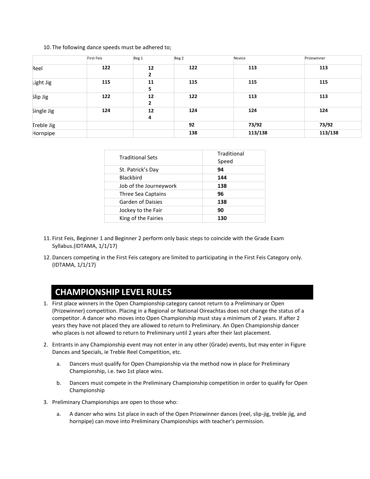10. The following dance speeds must be adhered to;

|            | <b>First Feis</b> | Beg <sub>1</sub>     | Beg <sub>2</sub> | Novice  | Prizewinner |
|------------|-------------------|----------------------|------------------|---------|-------------|
| Reel       | 122               | 12<br>$\overline{2}$ | 122              | 113     | 113         |
| Light Jig  | 115               | 11<br>5              | 115              | 115     | 115         |
| Slip Jig   | 122               | 12<br>$\overline{2}$ | 122              | 113     | 113         |
| Single Jig | 124               | 12<br>4              | 124              | 124     | 124         |
| Treble Jig |                   |                      | 92               | 73/92   | 73/92       |
| Hornpipe   |                   |                      | 138              | 113/138 | 113/138     |

| <b>Traditional Sets</b> | Traditional<br>Speed |
|-------------------------|----------------------|
| St. Patrick's Day       | 94                   |
| <b>Blackbird</b>        | 144                  |
| Job of the Journeywork  | 138                  |
| Three Sea Captains      | 96                   |
| Garden of Daisies       | 138                  |
| Jockey to the Fair      | 90                   |
| King of the Fairies     | 130                  |
|                         |                      |

- 11. First Feis, Beginner 1 and Beginner 2 perform only basic steps to coincide with the Grade Exam Syllabus.(IDTAMA, 1/1/17)
- 12. Dancers competing in the First Feis category are limited to participating in the First Feis Category only. (IDTAMA, 1/1/17)

## **CHAMPIONSHIP LEVEL RULES**

- 1. First place winners in the Open Championship category cannot return to a Preliminary or Open (Prizewinner) competition. Placing in a Regional or National Oireachtas does not change the status of a competitor. A dancer who moves into Open Championship must stay a minimum of 2 years. If after 2 years they have not placed they are allowed to return to Preliminary. An Open Championship dancer who places is not allowed to return to Preliminary until 2 years after their last placement.
- 2. Entrants in any Championship event may not enter in any other (Grade) events, but may enter in Figure Dances and Specials, ie Treble Reel Competition, etc.
	- a. Dancers must qualify for Open Championship via the method now in place for Preliminary Championship, i.e. two 1st place wins.
	- b. Dancers must compete in the Preliminary Championship competition in order to qualify for Open Championship
- 3. Preliminary Championships are open to those who:
	- a. A dancer who wins 1st place in each of the Open Prizewinner dances (reel, slip-jig, treble jig, and hornpipe) can move into Preliminary Championships with teacher's permission.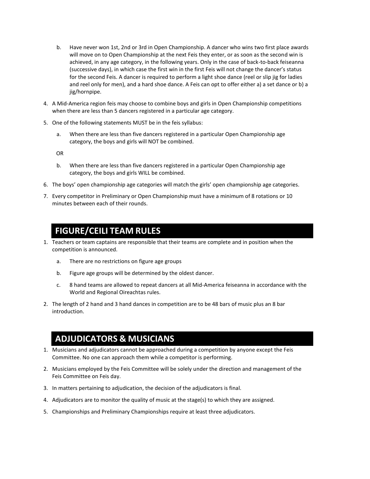- b. Have never won 1st, 2nd or 3rd in Open Championship. A dancer who wins two first place awards will move on to Open Championship at the next Feis they enter, or as soon as the second win is achieved, in any age category, in the following years. Only in the case of back-to-back feiseanna (successive days), in which case the first win in the first Feis will not change the dancer's status for the second Feis. A dancer is required to perform a light shoe dance (reel or slip jig for ladies and reel only for men), and a hard shoe dance. A Feis can opt to offer either a) a set dance or b) a jig/hornpipe.
- 4. A Mid-America region feis may choose to combine boys and girls in Open Championship competitions when there are less than 5 dancers registered in a particular age category.
- 5. One of the following statements MUST be in the feis syllabus:
	- a. When there are less than five dancers registered in a particular Open Championship age category, the boys and girls will NOT be combined.

OR

- b. When there are less than five dancers registered in a particular Open Championship age category, the boys and girls WILL be combined.
- 6. The boys' open championship age categories will match the girls' open championship age categories.
- 7. Every competitor in Preliminary or Open Championship must have a minimum of 8 rotations or 10 minutes between each of their rounds.

## **FIGURE/CEILI TEAM RULES**

- 1. Teachers or team captains are responsible that their teams are complete and in position when the competition is announced.
	- a. There are no restrictions on figure age groups
	- b. Figure age groups will be determined by the oldest dancer.
	- c. 8 hand teams are allowed to repeat dancers at all Mid-America feiseanna in accordance with the World and Regional Oireachtas rules.
- 2. The length of 2 hand and 3 hand dances in competition are to be 48 bars of music plus an 8 bar introduction.

## **ADJUDICATORS & MUSICIANS**

- 1. Musicians and adjudicators cannot be approached during a competition by anyone except the Feis Committee. No one can approach them while a competitor is performing.
- 2. Musicians employed by the Feis Committee will be solely under the direction and management of the Feis Committee on Feis day.
- 3. In matters pertaining to adjudication, the decision of the adjudicators is final.
- 4. Adjudicators are to monitor the quality of music at the stage(s) to which they are assigned.
- 5. Championships and Preliminary Championships require at least three adjudicators.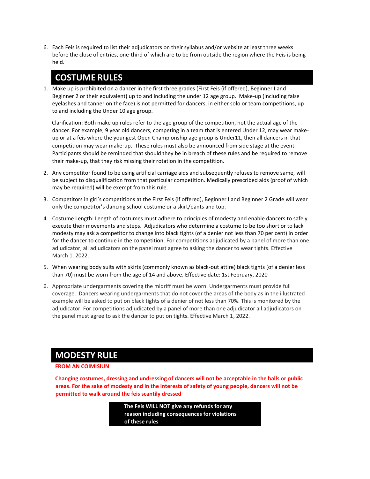6. Each Feis is required to list their adjudicators on their syllabus and/or website at least three weeks before the close of entries, one-third of which are to be from outside the region where the Feis is being held.

### **COSTUME RULES**

1. Make up is prohibited on a dancer in the first three grades (First Feis (if offered), Beginner I and Beginner 2 or their equivalent) up to and including the under 12 age group. Make-up (including false eyelashes and tanner on the face) is not permitted for dancers, in either solo or team competitions, up to and including the Under 10 age group.

Clarification: Both make up rules refer to the age group of the competition, not the actual age of the dancer. For example, 9 year old dancers, competing in a team that is entered Under 12, may wear makeup or at a feis where the youngest Open Championship age group is Under11, then all dancers in that competition may wear make-up. These rules must also be announced from side stage at the event. Participants should be reminded that should they be in breach of these rules and be required to remove their make-up, that they risk missing their rotation in the competition.

- 2. Any competitor found to be using artificial carriage aids and subsequently refuses to remove same, will be subject to disqualification from that particular competition. Medically prescribed aids (proof of which may be required) will be exempt from this rule.
- 3. Competitors in girl's competitions at the First Feis (if offered), Beginner I and Beginner 2 Grade will wear only the competitor's dancing school costume or a skirt/pants and top.
- 4. Costume Length: Length of costumes must adhere to principles of modesty and enable dancers to safely execute their movements and steps. Adjudicators who determine a costume to be too short or to lack modesty may ask a competitor to change into black tights (of a denier not less than 70 per cent) in order for the dancer to continue in the competition. For competitions adjudicated by a panel of more than one adjudicator, all adjudicators on the panel must agree to asking the dancer to wear tights. Effective March 1, 2022.
- 5. When wearing body suits with skirts (commonly known as black-out attire) black tights (of a denier less than 70) must be worn from the age of 14 and above. Effective date: 1st February, 2020
- 6. Appropriate undergarments covering the midriff must be worn. Undergarments must provide full coverage. Dancers wearing undergarments that do not cover the areas of the body as in the illustrated example will be asked to put on black tights of a denier of not less than 70%. This is monitored by the adjudicator. For competitions adjudicated by a panel of more than one adjudicator all adjudicators on the panel must agree to ask the dancer to put on tights. Effective March 1, 2022.

### **MODESTY RULE**

#### **FROM AN COIMISIUN**

**Changing costumes, dressing and undressing of dancers will not be acceptable in the halls or public areas. For the sake of modesty and in the interests of safety of young people, dancers will not be permitted to walk around the feis scantily dressed**

> **The Feis WILL NOT give any refunds for any reason including consequences for violations of these rules**